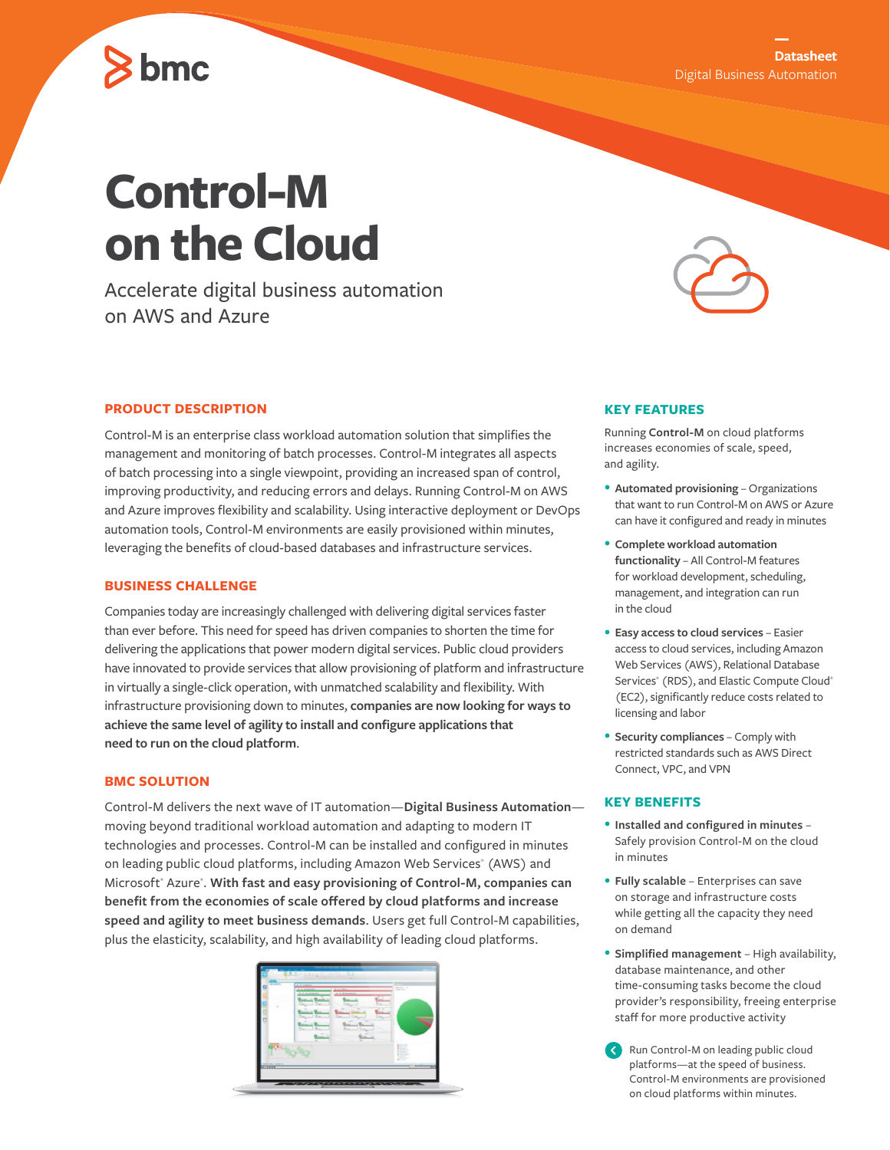# bmc

# **Control-M on the Cloud**

Accelerate digital business automation on AWS and Azure

# **PRODUCT DESCRIPTION**

Control-M is an enterprise class workload automation solution that simplifies the management and monitoring of batch processes. Control-M integrates all aspects of batch processing into a single viewpoint, providing an increased span of control, improving productivity, and reducing errors and delays. Running Control-M on AWS and Azure improves flexibility and scalability. Using interactive deployment or DevOps automation tools, Control-M environments are easily provisioned within minutes, leveraging the benefits of cloud-based databases and infrastructure services.

#### **BUSINESS CHALLENGE**

Companies today are increasingly challenged with delivering digital services faster than ever before. This need for speed has driven companies to shorten the time for delivering the applications that power modern digital services. Public cloud providers have innovated to provide services that allow provisioning of platform and infrastructure in virtually a single-click operation, with unmatched scalability and flexibility. With infrastructure provisioning down to minutes, **companies are now looking for ways to achieve the same level of agility to install and configure applications that need to run on the cloud platform**.

# **BMC SOLUTION**

Control-M delivers the next wave of IT automation—**Digital Business Automation** moving beyond traditional workload automation and adapting to modern IT technologies and processes. Control-M can be installed and configured in minutes on leading public cloud platforms, including Amazon Web Services® (AWS) and Microsoft<sup>®</sup> Azure<sup>®</sup>. With fast and easy provisioning of Control-M, companies can **benefit from the economies of scale offered by cloud platforms and increase speed and agility to meet business demands**. Users get full Control-M capabilities, plus the elasticity, scalability, and high availability of leading cloud platforms.





# **KEY FEATURES**

Running **Control-M** on cloud platforms increases economies of scale, speed, and agility.

- **Automated provisioning** Organizations that want to run Control-M on AWS or Azure can have it configured and ready in minutes
- **Complete workload automation functionality** – All Control-M features for workload development, scheduling, management, and integration can run in the cloud
- **Easy access to cloud services**  Easier access to cloud services, including Amazon Web Services (AWS), Relational Database Services® (RDS), and Elastic Compute Cloud® (EC2), significantly reduce costs related to licensing and labor
- **Security compliances**  Comply with restricted standards such as AWS Direct Connect, VPC, and VPN

#### **KEY BENEFITS**

- **Installed and configured in minutes**  Safely provision Control-M on the cloud in minutes
- **Fully scalable**  Enterprises can save on storage and infrastructure costs while getting all the capacity they need on demand
- **Simplified management**  High availability, database maintenance, and other time-consuming tasks become the cloud provider's responsibility, freeing enterprise staff for more productive activity
- Run Control-M on leading public cloud platforms—at the speed of business. Control-M environments are provisioned on cloud platforms within minutes.